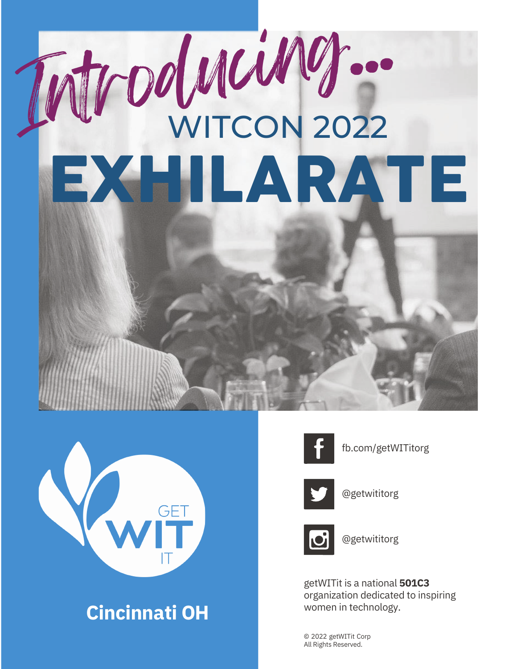# Introducing... EXHILARATE



### women in technology. **Cincinnati OH**



fb.com/getWITitorg



@getwititorg



@getwititorg

getWITit is a national **501C3** organization dedicated to inspiring

© 2022 getWITit Corp All Rights Reserved.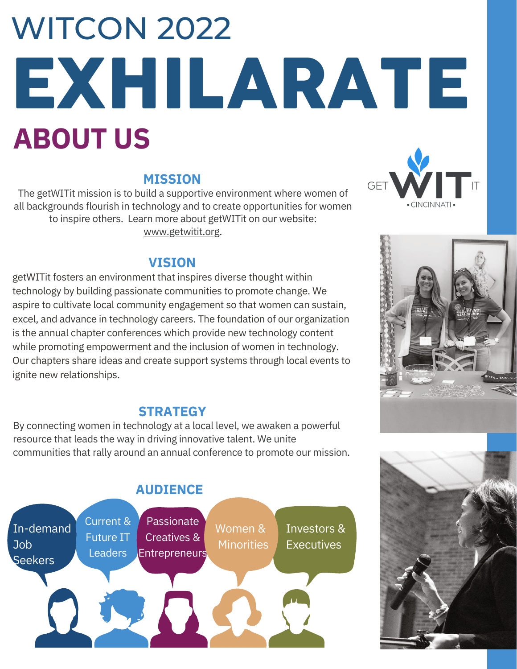## **ABOUT US** EXHILARATE **WITCON 2022**

#### **MISSION**

The getWITit mission is to build a supportive environment where women of all backgrounds flourish in technology and to create opportunities for women to inspire others. Learn more about getWITit on our website: [www.getwitit.org.](http://www.getwitit.org/)

#### **VISION**

getWITit fosters an environment that inspires diverse thought within technology by building passionate communities to promote change. We aspire to cultivate local community engagement so that women can sustain, excel, and advance in technology careers. The foundation of our organization is the annual chapter conferences which provide new technology content while promoting empowerment and the inclusion of women in technology. Our chapters share ideas and create support systems through local events to ignite new relationships.

#### **STRATEGY**

By connecting women in technology at a local level, we awaken a powerful resource that leads the way in driving innovative talent. We unite communities that rally around an annual conference to promote our mission.